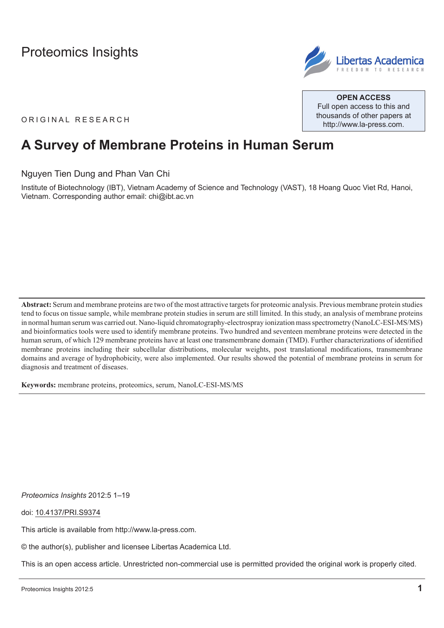

**Open Access** Full open access to this and thousands of other papers at <http://www.la-press.com>.

ORIGINAL RESEARCH

# **A Survey of Membrane Proteins in Human Serum**

Nguyen Tien Dung and Phan Van Chi

Institute of Biotechnology (IBT), Vietnam Academy of Science and Technology (VAST), 18 Hoang Quoc Viet Rd, Hanoi, Vietnam. Corresponding author email: [chi@ibt.ac.vn](mailto:chi@ibt.ac.vn)

**Abstract:** Serum and membrane proteins are two of the most attractive targets for proteomic analysis. Previous membrane protein studies tend to focus on tissue sample, while membrane protein studies in serum are still limited. In this study, an analysis of membrane proteins in normal human serum was carried out. Nano-liquid chromatography-electrospray ionization mass spectrometry (NanoLC-ESI-MS/MS) and bioinformatics tools were used to identify membrane proteins. Two hundred and seventeen membrane proteins were detected in the human serum, of which 129 membrane proteins have at least one transmembrane domain (TMD). Further characterizations of identified membrane proteins including their subcellular distributions, molecular weights, post translational modifications, transmembrane domains and average of hydrophobicity, were also implemented. Our results showed the potential of membrane proteins in serum for diagnosis and treatment of diseases.

**Keywords:** membrane proteins, proteomics, serum, NanoLC-ESI-MS/MS

*Proteomics Insights* 2012:5 1–19

doi: [10.4137/PRI.S9374](http://dx.doi.org/10.4137/PRI.S9374)

This article is available from [http://www.la-press.com.](http://www.la-press.com)

© the author(s), publisher and licensee Libertas Academica Ltd.

This is an open access article. Unrestricted non-commercial use is permitted provided the original work is properly cited.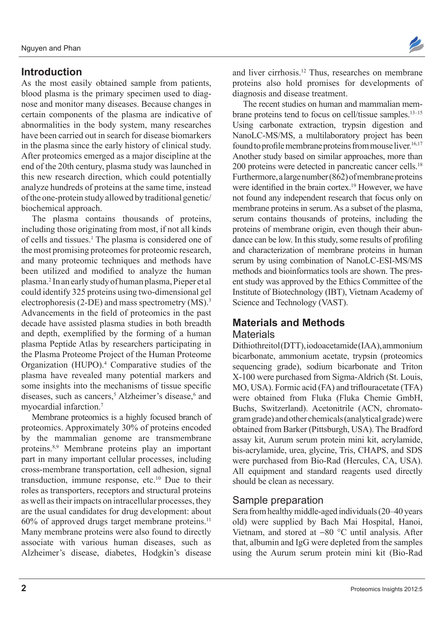## **Introduction**

As the most easily obtained sample from patients, blood plasma is the primary specimen used to diagnose and monitor many diseases. Because changes in certain components of the plasma are indicative of abnormalities in the body system, many researches have been carried out in search for disease biomarkers in the plasma since the early history of clinical study. After proteomics emerged as a major discipline at the end of the 20th century, plasma study was launched in this new research direction, which could potentially analyze hundreds of proteins at the same time, instead of the one-protein study allowed by traditional genetic/ biochemical approach.

The plasma contains thousands of proteins, including those originating from most, if not all kinds of cells and tissues.<sup>1</sup> The plasma is considered one of the most promising proteomes for proteomic research, and many proteomic techniques and methods have been utilized and modified to analyze the human plasma.2 In an early study of human plasma, Pieper et al could identify 325 proteins using two-dimensional gel electrophoresis (2-DE) and mass spectrometry (MS).<sup>3</sup> Advancements in the field of proteomics in the past decade have assisted plasma studies in both breadth and depth, exemplified by the forming of a human plasma Peptide Atlas by researchers participating in the Plasma Proteome Project of the Human Proteome Organization (HUPO).<sup>4</sup> Comparative studies of the plasma have revealed many potential markers and some insights into the mechanisms of tissue specific diseases, such as cancers,<sup>5</sup> Alzheimer's disease,<sup>6</sup> and myocardial infarction.7

Membrane proteomics is a highly focused branch of proteomics. Approximately 30% of proteins encoded by the mammalian genome are transmembrane proteins.8,9 Membrane proteins play an important part in many important cellular processes, including cross-membrane transportation, cell adhesion, signal transduction, immune response, etc.<sup>10</sup> Due to their roles as transporters, receptors and structural proteins as well as their impacts on intracellular processes, they are the usual candidates for drug development: about  $60\%$  of approved drugs target membrane proteins.<sup>11</sup> Many membrane proteins were also found to directly associate with various human diseases, such as Alzheimer's disease, diabetes, Hodgkin's disease



and liver cirrhosis.12 Thus, researches on membrane proteins also hold promises for developments of diagnosis and disease treatment.

The recent studies on human and mammalian membrane proteins tend to focus on cell/tissue samples.<sup>13–15</sup> Using carbonate extraction, trypsin digestion and NanoLC-MS/MS, a multilaboratory project has been found to profile membrane proteins from mouse liver.<sup>16,17</sup> Another study based on similar approaches, more than 200 proteins were detected in pancreatic cancer cells.18 Furthermore, a large number (862) of membrane proteins were identified in the brain cortex.<sup>19</sup> However, we have not found any independent research that focus only on membrane proteins in serum. As a subset of the plasma, serum contains thousands of proteins, including the proteins of membrane origin, even though their abundance can be low. In this study, some results of profiling and characterization of membrane proteins in human serum by using combination of NanoLC-ESI-MS/MS methods and bioinformatics tools are shown. The present study was approved by the Ethics Committee of the Institute of Biotechnology (IBT), Vietnam Academy of Science and Technology (VAST).

## **Materials and Methods**

#### **Materials**

Dithiothreitol (DTT), iodoacetamide (IAA), ammonium bicarbonate, ammonium acetate, trypsin (proteomics sequencing grade), sodium bicarbonate and Triton X-100 were purchased from Sigma-Aldrich (St. Louis, MO, USA). Formic acid (FA) and triflouracetate (TFA) were obtained from Fluka (Fluka Chemie GmbH, Buchs, Switzerland). Acetonitrile (ACN, chromatogram grade) and other chemicals (analytical grade) were obtained from Barker (Pittsburgh, USA). The Bradford assay kit, Aurum serum protein mini kit, acrylamide, bis-acrylamide, urea, glycine, Tris, CHAPS, and SDS were purchased from Bio-Rad (Hercules, CA, USA). All equipment and standard reagents used directly should be clean as necessary.

#### Sample preparation

Sera from healthy middle-aged individuals (20–40 years old) were supplied by Bach Mai Hospital, Hanoi, Vietnam, and stored at −80 °C until analysis. After that, albumin and IgG were depleted from the samples using the Aurum serum protein mini kit (Bio-Rad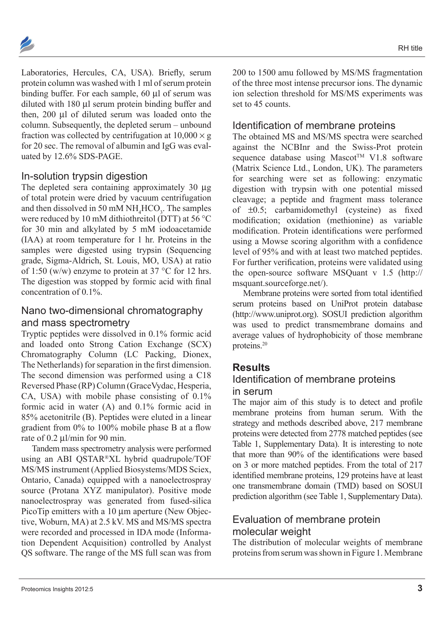Laboratories, Hercules, CA, USA). Briefly, serum protein column was washed with 1 ml of serum protein binding buffer. For each sample, 60 µl of serum was diluted with 180 µl serum protein binding buffer and then, 200 µl of diluted serum was loaded onto the column. Subsequently, the depleted serum – unbound fraction was collected by centrifugation at  $10,000 \times g$ for 20 sec. The removal of albumin and IgG was evaluated by 12.6% SDS-PAGE.

## In-solution trypsin digestion

The depleted sera containing approximately 30  $\mu$ g of total protein were dried by vacuum centrifugation and then dissolved in 50 mM  $NH<sub>4</sub> HCO<sub>3</sub>$ . The samples were reduced by 10 mM dithiothreitol (DTT) at 56 °C for 30 min and alkylated by 5 mM iodoacetamide (IAA) at room temperature for 1 hr. Proteins in the samples were digested using trypsin (Sequencing grade, Sigma-Aldrich, St. Louis, MO, USA) at ratio of 1:50 (w/w) enzyme to protein at 37  $\degree$ C for 12 hrs. The digestion was stopped by formic acid with final concentration of 0.1%.

## Nano two-dimensional chromatography and mass spectrometry

Tryptic peptides were dissolved in 0.1% formic acid and loaded onto Strong Cation Exchange (SCX) Chromatography Column (LC Packing, Dionex, The Netherlands) for separation in the first dimension. The second dimension was performed using a C18 Reversed Phase (RP) Column (GraceVydac, Hesperia, CA, USA) with mobile phase consisting of 0.1% formic acid in water (A) and 0.1% formic acid in 85% acetonitrile (B). Peptides were eluted in a linear gradient from 0% to 100% mobile phase B at a flow rate of 0.2 µl/min for 90 min.

Tandem mass spectrometry analysis were performed using an ABI QSTAR®XL hybrid quadrupole/TOF MS/MS instrument (Applied Biosystems/MDS Sciex, Ontario, Canada) equipped with a nanoelectrospray source (Protana XYZ manipulator). Positive mode nanoelectrospray was generated from fused-silica PicoTip emitters with a 10  $\mu$ m aperture (New Objective, Woburn, MA) at 2.5 kV. MS and MS/MS spectra were recorded and processed in IDA mode (Information Dependent Acquisition) controlled by Analyst QS software. The range of the MS full scan was from

200 to 1500 amu followed by MS/MS fragmentation of the three most intense precursor ions. The dynamic ion selection threshold for MS/MS experiments was set to 45 counts.

## Identification of membrane proteins

The obtained MS and MS/MS spectra were searched against the NCBInr and the Swiss-Prot protein sequence database using Mascot<sup>TM</sup> V1.8 software (Matrix Science Ltd., London, UK). The parameters for searching were set as following: enzymatic digestion with trypsin with one potential missed cleavage; a peptide and fragment mass tolerance of ±0.5; carbamidomethyl (cysteine) as fixed modification; oxidation (methionine) as variable modification. Protein identifications were performed using a Mowse scoring algorithm with a confidence level of 95% and with at least two matched peptides. For further verification, proteins were validated using the open-source software MSQuant v 1.5 [\(http://](http://msquant.sourceforge.net/) [msquant.sourceforge.net/\)](http://msquant.sourceforge.net/).

Membrane proteins were sorted from total identified serum proteins based on UniProt protein database ([http://www.uniprot.org\)](http://www.uniprot.org). SOSUI prediction algorithm was used to predict transmembrane domains and average values of hydrophobicity of those membrane proteins.20

## **Results**

## Identification of membrane proteins in serum

The major aim of this study is to detect and profile membrane proteins from human serum. With the strategy and methods described above, 217 membrane proteins were detected from 2778 matched peptides (see Table 1, Supplementary Data). It is interesting to note that more than 90% of the identifications were based on 3 or more matched peptides. From the total of 217 identified membrane proteins, 129 proteins have at least one transmembrane domain (TMD) based on SOSUI prediction algorithm (see Table 1, Supplementary Data).

## Evaluation of membrane protein molecular weight

The distribution of molecular weights of membrane proteins from serum was shown in Figure 1. Membrane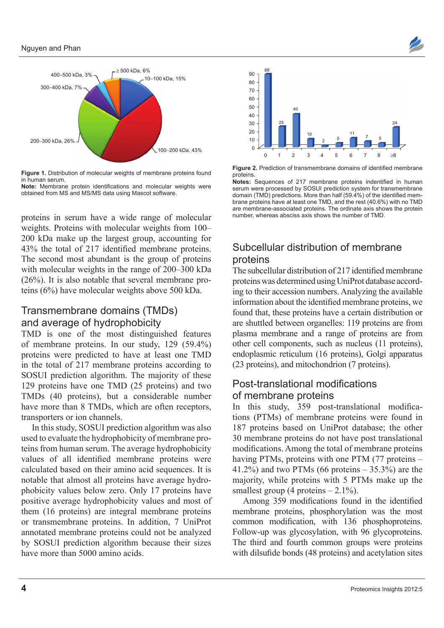

**Figure 1.** Distribution of molecular weights of membrane proteins found in human serum.

**Note:** Membrane protein identifications and molecular weights were obtained from MS and MS/MS data using Mascot software.

proteins in serum have a wide range of molecular weights. Proteins with molecular weights from 100– 200 kDa make up the largest group, accounting for 43% the total of 217 identified membrane proteins. The second most abundant is the group of proteins with molecular weights in the range of 200–300 kDa (26%). It is also notable that several membrane proteins (6%) have molecular weights above 500 kDa.

## Transmembrane domains (TMDs) and average of hydrophobicity

TMD is one of the most distinguished features of membrane proteins. In our study, 129 (59.4%) proteins were predicted to have at least one TMD in the total of 217 membrane proteins according to SOSUI prediction algorithm. The majority of these 129 proteins have one TMD (25 proteins) and two TMDs (40 proteins), but a considerable number have more than 8 TMDs, which are often receptors, transporters or ion channels.

In this study, SOSUI prediction algorithm was also used to evaluate the hydrophobicity of membrane proteins from human serum. The average hydrophobicity values of all identified membrane proteins were calculated based on their amino acid sequences. It is notable that almost all proteins have average hydrophobicity values below zero. Only 17 proteins have positive average hydrophobicity values and most of them (16 proteins) are integral membrane proteins or transmembrane proteins. In addition, 7 UniProt annotated membrane proteins could not be analyzed by SOSUI prediction algorithm because their sizes have more than 5000 amino acids.



**Figure 2.** Prediction of transmembrane domains of identified membrane proteins.

**Notes:** Sequences of 217 membrane proteins indentified in human serum were processed by SOSUI prediction system for transmembrane domain (TMD) predictions. More than half (59.4%) of the identified membrane proteins have at least one TMD, and the rest (40.6%) with no TMD are membrane-associated proteins. The ordinate axis shows the protein number, whereas absciss axis shows the number of TMD.

## Subcellular distribution of membrane proteins

The subcellular distribution of 217 identified membrane proteins was determined using UniProt database according to their accession numbers. Analyzing the available information about the identified membrane proteins, we found that, these proteins have a certain distribution or are shuttled between organelles: 119 proteins are from plasma membrane and a range of proteins are from other cell components, such as nucleus (11 proteins), endoplasmic reticulum (16 proteins), Golgi apparatus (23 proteins), and mitochondrion (7 proteins).

## Post-translational modifications of membrane proteins

In this study, 359 post-translational modifications (PTMs) of membrane proteins were found in 187 proteins based on UniProt database; the other 30 membrane proteins do not have post translational modifications. Among the total of membrane proteins having PTMs, proteins with one PTM (77 proteins – 41.2%) and two PTMs  $(66 \text{ proteins} - 35.3\%)$  are the majority, while proteins with 5 PTMs make up the smallest group  $(4 \text{ proteins} - 2.1\%)$ .

Among 359 modifications found in the identified membrane proteins, phosphorylation was the most common modification, with 136 phosphoproteins. Follow-up was glycosylation, with 96 glycoproteins. The third and fourth common groups were proteins with dilsufide bonds (48 proteins) and acetylation sites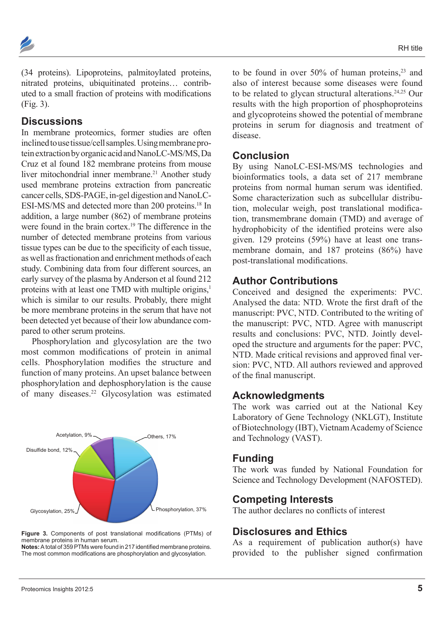

(34 proteins). Lipoproteins, palmitoylated proteins, nitrated proteins, ubiquitinated proteins… contributed to a small fraction of proteins with modifications (Fig. 3).

#### **Discussions**

In membrane proteomics, former studies are often inclined to use tissue/cell samples. Using membrane protein extraction by organic acid and NanoLC-MS/MS, Da Cruz et al found 182 membrane proteins from mouse liver mitochondrial inner membrane.<sup>21</sup> Another study used membrane proteins extraction from pancreatic cancer cells, SDS-PAGE, in-gel digestion and NanoLC-ESI-MS/MS and detected more than 200 proteins.18 In addition, a large number (862) of membrane proteins were found in the brain cortex.<sup>19</sup> The difference in the number of detected membrane proteins from various tissue types can be due to the specificity of each tissue, as well as fractionation and enrichment methods of each study. Combining data from four different sources, an early survey of the plasma by Anderson et al found 212 proteins with at least one TMD with multiple origins,<sup>1</sup> which is similar to our results. Probably, there might be more membrane proteins in the serum that have not been detected yet because of their low abundance compared to other serum proteins.

Phosphorylation and glycosylation are the two most common modifications of protein in animal cells. Phosphorylation modifies the structure and function of many proteins. An upset balance between phosphorylation and dephosphorylation is the cause of many diseases.<sup>22</sup> Glycosylation was estimated





**Notes:** Atotal of 359 PTMs were found in 217 identified membrane proteins. The most common modifications are phosphorylation and glycosylation.

to be found in over  $50\%$  of human proteins,<sup>23</sup> and also of interest because some diseases were found to be related to glycan structural alterations. $24,25$  Our results with the high proportion of phosphoproteins and glycoproteins showed the potential of membrane proteins in serum for diagnosis and treatment of disease.

#### **Conclusion**

By using NanoLC-ESI-MS/MS technologies and bioinformatics tools, a data set of 217 membrane proteins from normal human serum was identified. Some characterization such as subcellular distribution, molecular weigh, post translational modification, transmembrane domain (TMD) and average of hydrophobicity of the identified proteins were also given. 129 proteins (59%) have at least one transmembrane domain, and 187 proteins (86%) have post-translational modifications.

## **Author Contributions**

Conceived and designed the experiments: PVC. Analysed the data: NTD. Wrote the first draft of the manuscript: PVC, NTD. Contributed to the writing of the manuscript: PVC, NTD. Agree with manuscript results and conclusions: PVC, NTD. Jointly developed the structure and arguments for the paper: PVC, NTD. Made critical revisions and approved final version: PVC, NTD. All authors reviewed and approved of the final manuscript.

#### **Acknowledgments**

The work was carried out at the National Key Laboratory of Gene Technology (NKLGT), Institute of Biotechnology (IBT), Vietnam Academy of Science and Technology (VAST).

#### **Funding**

The work was funded by National Foundation for Science and Technology Development (NAFOSTED).

#### **Competing Interests**

The author declares no conflicts of interest

#### **Disclosures and Ethics**

As a requirement of publication author(s) have provided to the publisher signed confirmation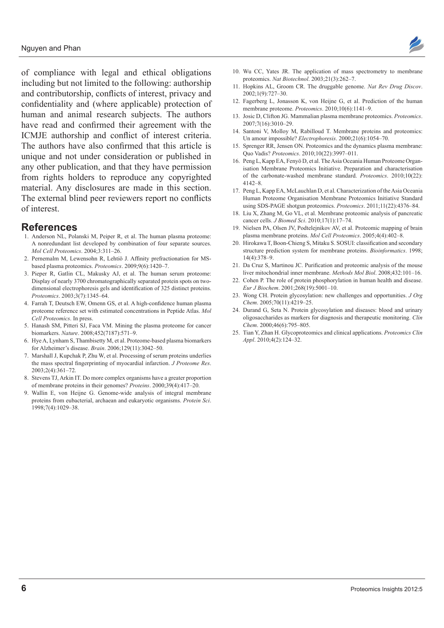of compliance with legal and ethical obligations including but not limited to the following: authorship and contributorship, conflicts of interest, privacy and confidentiality and (where applicable) protection of human and animal research subjects. The authors have read and confirmed their agreement with the ICMJE authorship and conflict of interest criteria. The authors have also confirmed that this article is unique and not under consideration or published in any other publication, and that they have permission from rights holders to reproduce any copyrighted material. Any disclosures are made in this section. The external blind peer reviewers report no conflicts of interest.

## **References**

- 1. Anderson NL, Polanski M, Peiper R, et al. The human plasma proteome: A nonredundant list developed by combination of four separate sources. *Mol Cell Proteomics*. 2004;3:311–26.
- 2. Pernemalm M, Lewensohn R, Lehtiö J. Affinity prefractionation for MSbased plasma proteomics. *Proteomics*. 2009;9(6):1420–7.
- 3. Pieper R, Gatlin CL, Makusky AJ, et al. The human serum proteome: Display of nearly 3700 chromatographically separated protein spots on twodimensional electrophoresis gels and identification of 325 distinct proteins. *Proteomics*. 2003;3(7):1345–64.
- 4. Farrah T, Deutsch EW, Omenn GS, et al. A high-confidence human plasma proteome reference set with estimated concentrations in Peptide Atlas. *Mol Cell Proteomics*. In press.
- 5. Hanash SM, Pitteri SJ, Faca VM. Mining the plasma proteome for cancer biomarkers. *Nature*. 2008;452(7187):571–9.
- 6. Hye A, Lynham S, Thambisetty M, et al. Proteome-based plasma biomarkers for Alzheimer's disease. *Brain*. 2006;129(11):3042–50.
- 7. Marshall J, Kupchak P, Zhu W, et al. Processing of serum proteins underlies the mass spectral fingerprinting of myocardial infarction. *J Proteome Res*. 2003;2(4):361–72.
- 8. Stevens TJ, Arkin IT. Do more complex organisms have a greater proportion of membrane proteins in their genomes? *Proteins*. 2000;39(4):417–20.
- 9. Wallin E, von Heijne G. Genome-wide analysis of integral membrane proteins from eubacterial, archaean and eukaryotic organisms. *Protein Sci*. 1998;7(4):1029–38.



- 10. Wu CC, Yates JR. The application of mass spectrometry to membrane proteomics. *Nat Biotechnol*. 2003;21(3):262–7.
- 11. Hopkins AL, Groom CR. The druggable genome. *Nat Rev Drug Discov*. 2002;1(9):727–30.
- 12. Fagerberg L, Jonasson K, von Heijne G, et al. Prediction of the human membrane proteome. *Proteomics*. 2010;10(6):1141–9.
- 13. Josic D, Clifton JG. Mammalian plasma membrane proteomics. *Proteomics*. 2007;7(16):3010–29.
- 14. Santoni V, Molloy M, Rabilloud T. Membrane proteins and proteomics: Un amour impossible? *Electrophoresis*. 2000;21(6):1054–70.
- 15. Sprenger RR, Jensen ON. Proteomics and the dynamics plasma membrane: Quo Vadis? *Proteomics*. 2010;10(22):3997–011.
- 16. Peng L, Kapp EA, Fenyö D, et al. The Asia Oceania Human Proteome Organisation Membrane Proteomics Initiative. Preparation and characterisation of the carbonate-washed membrane standard. *Proteomics*. 2010;10(22): 4142–8.
- 17. Peng L, Kapp EA, McLauchlan D, et al. Characterization of the Asia Oceania Human Proteome Organisation Membrane Proteomics Initiative Standard using SDS-PAGE shotgun proteomics. *Proteomics*. 2011;11(22):4376–84.
- 18. Liu X, Zhang M, Go VL, et al. Membrane proteomic analysis of pancreatic cancer cells. *J Biomed Sci*. 2010;17(1):17–74.
- 19. Nielsen PA, Olsen JV, Podtelejnikov AV, et al. Proteomic mapping of brain plasma membrane proteins. *Mol Cell Proteomics*. 2005;4(4):402–8.
- 20. Hirokawa T, Boon-Chieng S, Mitaku S. SOSUI: classification and secondary structure prediction system for membrane proteins. *Bioinformatics*. 1998; 14(4):378–9.
- 21. Da Cruz S, Martinou JC. Purification and proteomic analysis of the mouse liver mitochondrial inner membrane. *Methods Mol Biol*. 2008;432:101–16.
- 22. Cohen P. The role of protein phosphorylation in human health and disease. *Eur J Biochem*. 2001;268(19):5001–10.
- 23. Wong CH. Protein glycosylation: new challenges and opportunities. *J Org Chem*. 2005;70(11):4219–25.
- 24. Durand G, Seta N. Protein glycosylation and diseases: blood and urinary oligosaccharides as markers for diagnosis and therapeutic monitoring. *Clin Chem*. 2000;46(6):795–805.
- 25. Tian Y, Zhan H. Glycoproteomics and clinical applications. *Proteomics Clin Appl*. 2010;4(2):124–32.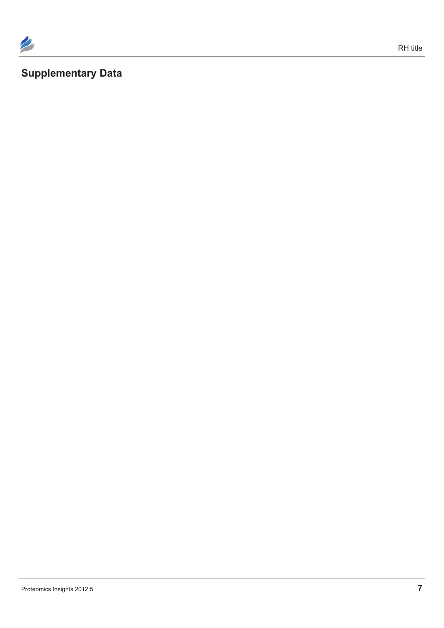

## **Supplementary Data**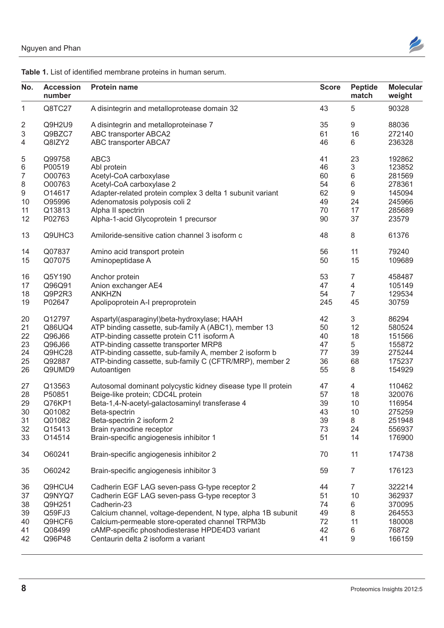

| No.             | <b>Accession</b><br>number | <b>Protein name</b>                                          | <b>Score</b> | <b>Peptide</b><br>match | <b>Molecular</b><br>weight |
|-----------------|----------------------------|--------------------------------------------------------------|--------------|-------------------------|----------------------------|
|                 | Q8TC27                     | A disintegrin and metalloprotease domain 32                  | 43           | 5                       | 90328                      |
| $\overline{2}$  | Q9H2U9                     | A disintegrin and metalloproteinase 7                        | 35           | 9                       | 88036                      |
| $\mathfrak{3}$  | Q9BZC7                     | ABC transporter ABCA2                                        | 61           | 16                      | 272140                     |
| 4               | Q8IZY2                     | ABC transporter ABCA7                                        | 46           | 6                       | 236328                     |
|                 |                            |                                                              |              |                         |                            |
| 5               | Q99758                     | ABC3                                                         | 41           | 23                      | 192862                     |
| $6\phantom{1}6$ | P00519                     | Abl protein                                                  | 46           | $\mathbf{3}$            | 123852                     |
|                 | O00763                     | Acetyl-CoA carboxylase                                       | 60           | 6                       | 281569                     |
| 8               | O00763                     | Acetyl-CoA carboxylase 2                                     | 54           | 6                       | 278361                     |
| 9               | O14617                     | Adapter-related protein complex 3 delta 1 subunit variant    | 62           | 9                       | 145094                     |
| 10              | O95996                     | Adenomatosis polyposis coli 2                                | 49           | 24                      | 245966                     |
| 11              | Q13813                     | Alpha II spectrin                                            | 70           | 17                      | 285689                     |
| 12              | P02763                     | Alpha-1-acid Glycoprotein 1 precursor                        | 90           | 37                      | 23579                      |
|                 |                            |                                                              |              |                         |                            |
| 13              | Q9UHC3                     | Amiloride-sensitive cation channel 3 isoform c               | 48           | 8                       | 61376                      |
| 14              | Q07837                     | Amino acid transport protein                                 | 56           | 11                      | 79240                      |
| 15              | Q07075                     | Aminopeptidase A                                             | 50           | 15                      | 109689                     |
|                 |                            |                                                              |              |                         |                            |
| 16              | Q5Y190                     | Anchor protein                                               | 53           |                         | 458487                     |
| 17              | Q96Q91                     | Anion exchanger AE4                                          | 47           | $\overline{4}$          | 105149                     |
| 18              | Q9P2R3                     | <b>ANKHZN</b>                                                | 54           | $\overline{7}$          | 129534                     |
| 19              | P02647                     | Apolipoprotein A-I preproprotein                             | 245          | 45                      | 30759                      |
|                 |                            |                                                              |              |                         |                            |
| 20              | Q12797                     | Aspartyl(asparaginyl)beta-hydroxylase; HAAH                  | 42           | 3                       | 86294                      |
| 21              | Q86UQ4                     | ATP binding cassette, sub-family A (ABC1), member 13         | 50           | 12                      | 580524                     |
| 22              | Q96J66                     | ATP-binding cassette protein C11 isoform A                   | 40           | 18                      | 151566                     |
| 23              | Q96J66                     | ATP-binding cassette transporter MRP8                        | 47           | 5                       | 155872                     |
| 24              | Q9HC28                     | ATP-binding cassette, sub-family A, member 2 isoform b       | 77           | 39                      | 275244                     |
| 25              | Q92887                     | ATP-binding cassette, sub-family C (CFTR/MRP), member 2      | 36           | 68                      | 175237                     |
| 26              | Q9UMD9                     | Autoantigen                                                  | 55           | 8                       | 154929                     |
|                 |                            |                                                              |              |                         |                            |
| 27              | Q13563                     | Autosomal dominant polycystic kidney disease type II protein | 47           | 4                       | 110462                     |
| 28              | P50851                     | Beige-like protein; CDC4L protein                            | 57           | 18                      | 320076                     |
| 29              | Q76KP1                     | Beta-1,4-N-acetyl-galactosaminyl transferase 4               | 39           | 10                      | 116954                     |
| 30              | Q01082                     | Beta-spectrin                                                | 43           | 10                      | 275259                     |
| 31              | Q01082                     | Beta-spectrin 2 isoform 2                                    | 39           | 8                       | 251948                     |
| 32              | Q15413                     | Brain ryanodine receptor                                     | 73           | 24                      | 556937                     |
| 33              | O14514                     | Brain-specific angiogenesis inhibitor 1                      | 51           | 14                      | 176900                     |
|                 |                            |                                                              |              |                         |                            |
| 34              | O60241                     | Brain-specific angiogenesis inhibitor 2                      | 70           | 11                      | 174738                     |
| 35              | O60242                     | Brain-specific angiogenesis inhibitor 3                      | 59           | $\overline{7}$          | 176123                     |
| 36              | Q9HCU4                     | Cadherin EGF LAG seven-pass G-type receptor 2                | 44           | $\overline{7}$          | 322214                     |
| 37              | Q9NYQ7                     | Cadherin EGF LAG seven-pass G-type receptor 3                | 51           | 10                      | 362937                     |
| 38              | Q9H251                     | Cadherin-23                                                  | 74           | 6                       | 370095                     |
| 39              | Q59FJ3                     | Calcium channel, voltage-dependent, N type, alpha 1B subunit | 49           | 8                       | 264553                     |
|                 | Q9HCF6                     | Calcium-permeable store-operated channel TRPM3b              |              | 11                      | 180008                     |
| 40              |                            |                                                              | 72           |                         |                            |
| 41              | Q08499                     | cAMP-specific phoshodiesterase HPDE4D3 variant               | 42           | 6                       | 76872                      |
| 42              | Q96P48                     | Centaurin delta 2 isoform a variant                          | 41           | 9                       | 166159                     |
|                 |                            |                                                              |              |                         |                            |

#### **Table 1.** List of identified membrane proteins in human serum.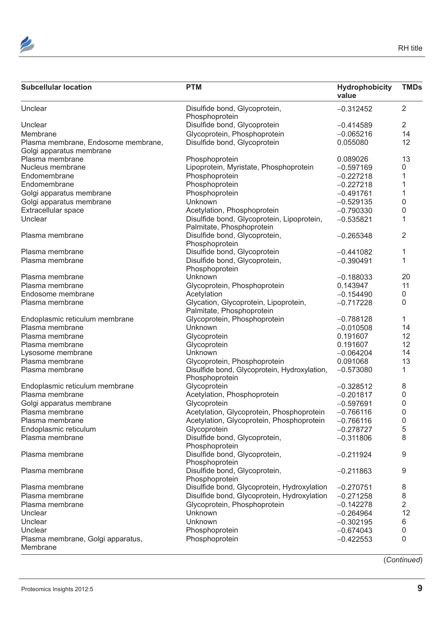

| <b>PTM</b><br><b>Subcellular location</b>                                                       | Hydrophobicity<br>value | <b>TMDs</b>    |
|-------------------------------------------------------------------------------------------------|-------------------------|----------------|
| Unclear<br>Disulfide bond, Glycoprotein,<br>Phosphoprotein                                      | $-0.312452$             | 2              |
| Disulfide bond, Glycoprotein<br>Unclear                                                         | $-0.414589$             | 2              |
| Membrane<br>Glycoprotein, Phosphoprotein                                                        | $-0.065216$             | 14             |
| Plasma membrane, Endosome membrane,<br>Disulfide bond, Glycoprotein<br>Golgi apparatus membrane | 0.055080                | 12             |
| Plasma membrane<br>Phosphoprotein                                                               | 0.089026                | 13             |
| Lipoprotein, Myristate, Phosphoprotein<br>Nucleus membrane                                      | $-0.597169$             | $\Omega$       |
| Phosphoprotein<br>Endomembrane                                                                  | $-0.227218$             |                |
| Endomembrane<br>Phosphoprotein                                                                  | $-0.227218$             |                |
| Golgi apparatus membrane<br>Phosphoprotein                                                      | $-0.491761$             |                |
| Golgi apparatus membrane<br>Unknown                                                             | $-0.529135$             |                |
| Extracellular space<br>Acetylation, Phosphoprotein                                              | $-0.790330$             |                |
| Disulfide bond, Glycoprotein, Lipoprotein,<br>Unclear<br>Palmitate, Phosphoprotein              | $-0.535821$             |                |
| Disulfide bond, Glycoprotein,<br>Plasma membrane<br>Phosphoprotein                              | $-0.265348$             | $\overline{2}$ |
| Disulfide bond, Glycoprotein<br>Plasma membrane                                                 | $-0.441082$             |                |
| Disulfide bond, Glycoprotein,<br>Plasma membrane<br>Phosphoprotein                              | $-0.390491$             |                |
| Plasma membrane<br>Unknown                                                                      | $-0.188033$             | 20             |
| Plasma membrane<br>Glycoprotein, Phosphoprotein                                                 | 0.143947                | 11             |
| Endosome membrane<br>Acetylation                                                                | $-0.154490$             | $\Omega$       |
| Plasma membrane<br>Glycation, Glycoprotein, Lipoprotein,<br>Palmitate, Phosphoprotein           | $-0.717228$             | $\Omega$       |
| Glycoprotein, Phosphoprotein<br>Endoplasmic reticulum membrane                                  | $-0.788128$             |                |
| Plasma membrane<br>Unknown                                                                      | $-0.010508$             | 14             |
| Plasma membrane<br>Glycoprotein                                                                 | 0.191607                | 12             |
| Glycoprotein<br>Plasma membrane                                                                 | 0.191607                | 12             |
| Unknown<br>Lysosome membrane                                                                    | $-0.064204$             | 14             |
| Plasma membrane<br>Glycoprotein, Phosphoprotein                                                 | 0.091068                | 13             |
| Disulfide bond, Glycoprotein, Hydroxylation,<br>Plasma membrane<br>Phosphoprotein               | $-0.573080$             |                |
| Glycoprotein<br>Endoplasmic reticulum membrane                                                  | $-0.328512$             | 8              |
| Plasma membrane<br>Acetylation, Phosphoprotein                                                  | $-0.201817$             | $\cap$         |
| Golgi apparatus membrane<br>Glycoprotein                                                        | $-0.597691$             |                |
| Acetylation, Glycoprotein, Phosphoprotein<br>Plasma membrane                                    | $-0.766116$             |                |
| Acetylation, Glycoprotein, Phosphoprotein<br>Plasma membrane                                    | $-0.766116$             |                |
| Endoplasmic reticulum<br>Glycoprotein                                                           | $-0.278727$             |                |
| Disulfide bond, Glycoprotein,<br>Plasma membrane<br>Phosphoprotein                              | $-0.311806$             | 8              |
| Disulfide bond, Glycoprotein,<br>Plasma membrane<br>Phosphoprotein                              | $-0.211924$             | 9              |
| Disulfide bond, Glycoprotein,<br>Plasma membrane<br>Phosphoprotein                              | $-0.211863$             | 9              |
| Disulfide bond, Glycoprotein, Hydroxylation<br>Plasma membrane                                  | $-0.270751$             |                |
| Disulfide bond, Glycoprotein, Hydroxylation<br>Plasma membrane                                  | $-0.271258$             |                |
| Glycoprotein, Phosphoprotein<br>Plasma membrane                                                 | $-0.142278$             |                |
| Unknown<br>Unclear                                                                              | $-0.264964$             | 12             |
| Unclear<br>Unknown                                                                              | $-0.302195$             |                |
| Unclear<br>Phosphoprotein                                                                       | $-0.674043$             |                |
| Plasma membrane, Golgi apparatus,<br>Phosphoprotein<br>Membrane                                 | $-0.422553$             |                |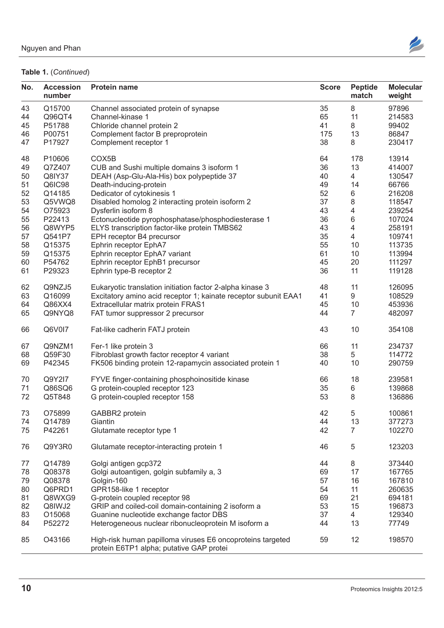

| No. | <b>Accession</b><br>number | <b>Protein name</b>                                                                                    | <b>Score</b> | Peptide<br>match | <b>Molecular</b><br>weight |
|-----|----------------------------|--------------------------------------------------------------------------------------------------------|--------------|------------------|----------------------------|
| 43  | Q15700                     | Channel associated protein of synapse                                                                  | 35           | 8                | 97896                      |
| 44  | Q96QT4                     | Channel-kinase 1                                                                                       | 65           | 11               | 214583                     |
| 45  | P51788                     | Chloride channel protein 2                                                                             | 41           | 8                | 99402                      |
| 46  | P00751                     | Complement factor B preproprotein                                                                      | 175          | 13               | 86847                      |
| 47  | P17927                     | Complement receptor 1                                                                                  | 38           | 8                | 230417                     |
|     |                            |                                                                                                        |              |                  |                            |
| 48  | P10606                     | COX5B                                                                                                  | 64           | 178              | 13914                      |
| 49  | Q7Z407                     | CUB and Sushi multiple domains 3 isoform 1                                                             | 36           | 13               | 414007                     |
| 50  | Q8IY37                     | DEAH (Asp-Glu-Ala-His) box polypeptide 37                                                              | 40           | $\overline{4}$   | 130547                     |
| 51  | Q6IC98                     | Death-inducing-protein                                                                                 | 49           | 14               | 66766                      |
| 52  | Q14185                     | Dedicator of cytokinesis 1                                                                             | 52           | $6\phantom{1}$   | 216208                     |
| 53  | Q5VWQ8                     | Disabled homolog 2 interacting protein isoform 2                                                       | 37           | 8                | 118547                     |
| 54  | O75923                     | Dysferlin isoform 8                                                                                    | 43           | $\overline{4}$   | 239254                     |
| 55  | P22413                     | Ectonucleotide pyrophosphatase/phosphodiesterase 1                                                     | 36           | 6                | 107024                     |
|     | Q8WYP5                     |                                                                                                        |              | $\overline{4}$   |                            |
| 56  |                            | ELYS transcription factor-like protein TMBS62                                                          | 43           |                  | 258191                     |
| 57  | Q541P7                     | EPH receptor B4 precursor                                                                              | 35           | 4                | 109741                     |
| 58  | Q15375                     | Ephrin receptor EphA7                                                                                  | 55           | 10               | 113735                     |
| 59  | Q15375                     | Ephrin receptor EphA7 variant                                                                          | 61           | 10               | 113994                     |
| 60  | P54762                     | Ephrin receptor EphB1 precursor                                                                        | 45           | 20               | 111297                     |
| 61  | P29323                     | Ephrin type-B receptor 2                                                                               | 36           | 11               | 119128                     |
| 62  | Q9NZJ5                     | Eukaryotic translation initiation factor 2-alpha kinase 3                                              | 48           | 11               | 126095                     |
|     |                            |                                                                                                        |              | 9                |                            |
| 63  | Q16099                     | Excitatory amino acid receptor 1; kainate receptor subunit EAA1                                        | 41           |                  | 108529                     |
| 64  | Q86XX4                     | Extracellular matrix protein FRAS1                                                                     | 45           | 10               | 453936                     |
| 65  | Q9NYQ8                     | FAT tumor suppressor 2 precursor                                                                       | 44           | $\overline{7}$   | 482097                     |
| 66  | Q6V017                     | Fat-like cadherin FATJ protein                                                                         | 43           | 10 <sup>°</sup>  | 354108                     |
| 67  | Q9NZM1                     | Fer-1 like protein 3                                                                                   | 66           | 11               | 234737                     |
| 68  | Q59F30                     | Fibroblast growth factor receptor 4 variant                                                            | 38           | 5                | 114772                     |
|     |                            |                                                                                                        | 40           | 10 <sup>°</sup>  |                            |
| 69  | P42345                     | FK506 binding protein 12-rapamycin associated protein 1                                                |              |                  | 290759                     |
| 70  | Q9Y2I7                     | FYVE finger-containing phosphoinositide kinase                                                         | 66           | 18               | 239581                     |
| 71  | Q86SQ6                     | G protein-coupled receptor 123                                                                         | 35           | 6                | 139868                     |
| 72  | Q5T848                     | G protein-coupled receptor 158                                                                         | 53           | 8                | 136886                     |
|     |                            |                                                                                                        |              |                  |                            |
| 73  | O75899                     | GABBR2 protein                                                                                         | 42           |                  | 100861                     |
| 74  | Q14789                     | Giantin                                                                                                | 44           | 13               | 377273                     |
| 75  | P42261                     | Glutamate receptor type 1                                                                              | 42           | $\overline{7}$   | 102270                     |
|     |                            |                                                                                                        |              |                  |                            |
| 76  | Q9Y3R0                     | Glutamate receptor-interacting protein 1                                                               | 46           | $\overline{5}$   | 123203                     |
| 77  | Q14789                     | Golgi antigen gcp372                                                                                   | 44           | 8                | 373440                     |
| 78  | Q08378                     | Golgi autoantigen, golgin subfamily a, 3                                                               | 69           | 17               | 167765                     |
|     |                            |                                                                                                        |              |                  |                            |
| 79  | Q08378                     | Golgin-160                                                                                             | 57           | 16               | 167810                     |
| 80  | Q6PRD1                     | GPR158-like 1 receptor                                                                                 | 54           | 11               | 260635                     |
| 81  | Q8WXG9                     | G-protein coupled receptor 98                                                                          | 69           | 21               | 694181                     |
| 82  | Q8IWJ2                     | GRIP and coiled-coil domain-containing 2 isoform a                                                     | 53           | 15               | 196873                     |
| 83  | O15068                     | Guanine nucleotide exchange factor DBS                                                                 | 37           | $\overline{4}$   | 129340                     |
| 84  | P52272                     | Heterogeneous nuclear ribonucleoprotein M isoform a                                                    | 44           | 13               | 77749                      |
|     |                            |                                                                                                        |              |                  |                            |
| 85  | O43166                     | High-risk human papilloma viruses E6 oncoproteins targeted<br>protein E6TP1 alpha; putative GAP protei | 59           | 12               | 198570                     |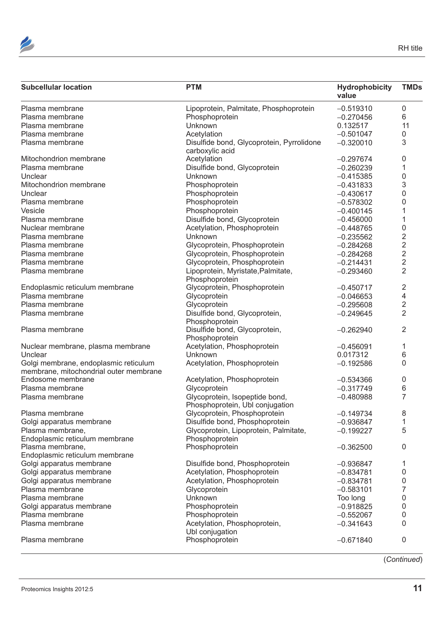

| <b>Subcellular location</b>                                                     | <b>PTM</b>                                                        | Hydrophobicity<br>value                                                                                                                                                                                                                                                                                                                                                                                                       | <b>TMDs</b>    |
|---------------------------------------------------------------------------------|-------------------------------------------------------------------|-------------------------------------------------------------------------------------------------------------------------------------------------------------------------------------------------------------------------------------------------------------------------------------------------------------------------------------------------------------------------------------------------------------------------------|----------------|
| Plasma membrane                                                                 | Lipoprotein, Palmitate, Phosphoprotein                            | $-0.519310$                                                                                                                                                                                                                                                                                                                                                                                                                   | $\Omega$       |
| Plasma membrane                                                                 | Phosphoprotein                                                    | $-0.270456$                                                                                                                                                                                                                                                                                                                                                                                                                   | 6              |
| Plasma membrane                                                                 | Unknown                                                           | 0.132517                                                                                                                                                                                                                                                                                                                                                                                                                      | 11             |
| Plasma membrane                                                                 | Acetylation                                                       | $-0.501047$                                                                                                                                                                                                                                                                                                                                                                                                                   |                |
| Plasma membrane                                                                 | Disulfide bond, Glycoprotein, Pyrrolidone<br>carboxylic acid      | $-0.320010$                                                                                                                                                                                                                                                                                                                                                                                                                   | 3              |
| Mitochondrion membrane                                                          | Acetylation                                                       |                                                                                                                                                                                                                                                                                                                                                                                                                               |                |
| Plasma membrane                                                                 | Disulfide bond, Glycoprotein                                      |                                                                                                                                                                                                                                                                                                                                                                                                                               |                |
| Unclear                                                                         | Unknown                                                           |                                                                                                                                                                                                                                                                                                                                                                                                                               |                |
| Mitochondrion membrane                                                          | Phosphoprotein                                                    |                                                                                                                                                                                                                                                                                                                                                                                                                               |                |
| Unclear                                                                         | Phosphoprotein                                                    |                                                                                                                                                                                                                                                                                                                                                                                                                               |                |
| Plasma membrane                                                                 | Phosphoprotein                                                    |                                                                                                                                                                                                                                                                                                                                                                                                                               |                |
| Vesicle                                                                         | Phosphoprotein                                                    |                                                                                                                                                                                                                                                                                                                                                                                                                               |                |
| Plasma membrane                                                                 | Disulfide bond, Glycoprotein                                      |                                                                                                                                                                                                                                                                                                                                                                                                                               |                |
| Nuclear membrane                                                                | Acetylation, Phosphoprotein                                       |                                                                                                                                                                                                                                                                                                                                                                                                                               |                |
| Plasma membrane                                                                 | Unknown                                                           |                                                                                                                                                                                                                                                                                                                                                                                                                               | $\mathcal{P}$  |
| Plasma membrane                                                                 | Glycoprotein, Phosphoprotein                                      |                                                                                                                                                                                                                                                                                                                                                                                                                               |                |
| Plasma membrane                                                                 | Glycoprotein, Phosphoprotein                                      | $-0.284268$                                                                                                                                                                                                                                                                                                                                                                                                                   |                |
| Plasma membrane                                                                 | Glycoprotein, Phosphoprotein                                      |                                                                                                                                                                                                                                                                                                                                                                                                                               |                |
| Plasma membrane                                                                 | Lipoprotein, Myristate, Palmitate,<br>Phosphoprotein              | $-0.293460$                                                                                                                                                                                                                                                                                                                                                                                                                   | 2              |
| Endoplasmic reticulum membrane                                                  | Glycoprotein, Phosphoprotein                                      | $-0.450717$                                                                                                                                                                                                                                                                                                                                                                                                                   | 2              |
| Plasma membrane                                                                 | Glycoprotein                                                      | $-0.046653$                                                                                                                                                                                                                                                                                                                                                                                                                   |                |
| Plasma membrane                                                                 | Glycoprotein                                                      |                                                                                                                                                                                                                                                                                                                                                                                                                               |                |
| Plasma membrane                                                                 | Disulfide bond, Glycoprotein,<br>Phosphoprotein                   | $-0.249645$                                                                                                                                                                                                                                                                                                                                                                                                                   | 2              |
| Plasma membrane                                                                 | Disulfide bond, Glycoprotein,<br>Phosphoprotein                   | $-0.262940$                                                                                                                                                                                                                                                                                                                                                                                                                   | 2              |
| Nuclear membrane, plasma membrane                                               | Acetylation, Phosphoprotein                                       |                                                                                                                                                                                                                                                                                                                                                                                                                               |                |
| Unclear                                                                         | Unknown                                                           | 0.017312                                                                                                                                                                                                                                                                                                                                                                                                                      | 6              |
| Golgi membrane, endoplasmic reticulum<br>membrane, mitochondrial outer membrane | Acetylation, Phosphoprotein                                       | $-0.192586$                                                                                                                                                                                                                                                                                                                                                                                                                   | $\Omega$       |
| Endosome membrane                                                               | Acetylation, Phosphoprotein                                       | $-0.534366$                                                                                                                                                                                                                                                                                                                                                                                                                   |                |
| Plasma membrane                                                                 | Glycoprotein                                                      | $-0.317749$                                                                                                                                                                                                                                                                                                                                                                                                                   |                |
| Plasma membrane                                                                 | Glycoprotein, Isopeptide bond,<br>Phosphoprotein, Ubl conjugation | $-0.297674$<br>$-0.260239$<br>$-0.415385$<br>$-0.431833$<br>$-0.430617$<br>$-0.578302$<br>$-0.400145$<br>$-0.456000$<br>$-0.448765$<br>$-0.235562$<br>$-0.284268$<br>$-0.214431$<br>$-0.295608$<br>$-0.456091$<br>$-0.480988$<br>$-0.149734$<br>$-0.936847$<br>$-0.199227$<br>$-0.362500$<br>$-0.936847$<br>$-0.834781$<br>$-0.834781$<br>$-0.583101$<br>Too long<br>$-0.918825$<br>$-0.552067$<br>$-0.341643$<br>$-0.671840$ |                |
| Plasma membrane                                                                 | Glycoprotein, Phosphoprotein                                      |                                                                                                                                                                                                                                                                                                                                                                                                                               |                |
| Golgi apparatus membrane                                                        | Disulfide bond, Phosphoprotein                                    |                                                                                                                                                                                                                                                                                                                                                                                                                               |                |
| Plasma membrane,<br>Endoplasmic reticulum membrane                              | Glycoprotein, Lipoprotein, Palmitate,<br>Phosphoprotein           |                                                                                                                                                                                                                                                                                                                                                                                                                               | 5              |
| Plasma membrane,<br>Endoplasmic reticulum membrane                              | Phosphoprotein                                                    |                                                                                                                                                                                                                                                                                                                                                                                                                               | $\Omega$       |
| Golgi apparatus membrane                                                        | Disulfide bond, Phosphoprotein                                    |                                                                                                                                                                                                                                                                                                                                                                                                                               |                |
| Golgi apparatus membrane                                                        | Acetylation, Phosphoprotein                                       |                                                                                                                                                                                                                                                                                                                                                                                                                               |                |
| Golgi apparatus membrane                                                        | Acetylation, Phosphoprotein                                       |                                                                                                                                                                                                                                                                                                                                                                                                                               |                |
| Plasma membrane                                                                 | Glycoprotein                                                      |                                                                                                                                                                                                                                                                                                                                                                                                                               |                |
| Plasma membrane                                                                 | Unknown                                                           |                                                                                                                                                                                                                                                                                                                                                                                                                               |                |
| Golgi apparatus membrane                                                        | Phosphoprotein                                                    |                                                                                                                                                                                                                                                                                                                                                                                                                               |                |
| Plasma membrane                                                                 | Phosphoprotein                                                    |                                                                                                                                                                                                                                                                                                                                                                                                                               |                |
| Plasma membrane                                                                 | Acetylation, Phosphoprotein,<br>Ubl conjugation                   |                                                                                                                                                                                                                                                                                                                                                                                                                               |                |
| Plasma membrane                                                                 | Phosphoprotein                                                    |                                                                                                                                                                                                                                                                                                                                                                                                                               | $\overline{0}$ |
|                                                                                 |                                                                   |                                                                                                                                                                                                                                                                                                                                                                                                                               |                |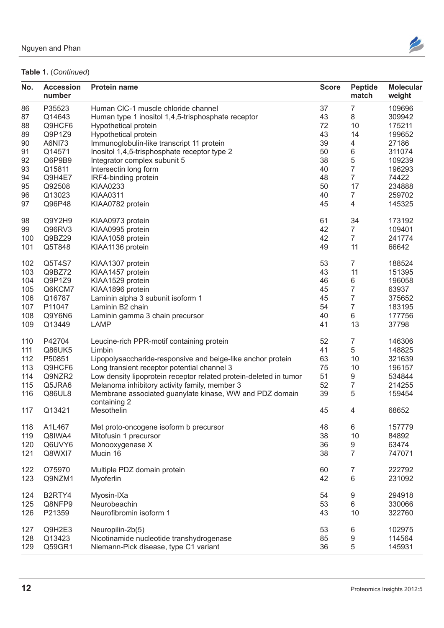

| No. | <b>Accession</b><br>number | <b>Protein name</b>                                               | <b>Score</b> | <b>Peptide</b><br>match | <b>Molecular</b><br>weight |
|-----|----------------------------|-------------------------------------------------------------------|--------------|-------------------------|----------------------------|
| 86  | P35523                     | Human CIC-1 muscle chloride channel                               | 37           | 7                       | 109696                     |
| 87  | Q14643                     | Human type 1 inositol 1,4,5-trisphosphate receptor                | 43           | 8                       | 309942                     |
| 88  | Q9HCF6                     | Hypothetical protein                                              | 72           | 10                      | 175211                     |
| 89  | Q9P1Z9                     | Hypothetical protein                                              | 43           | 14                      | 199652                     |
|     | A6NI73                     |                                                                   |              |                         |                            |
| 90  |                            | Immunoglobulin-like transcript 11 protein                         | 39           |                         | 27186                      |
| 91  | Q14571                     | Inositol 1,4,5-trisphosphate receptor type 2                      | 50           | 6                       | 311074                     |
| 92  | Q6P9B9                     | Integrator complex subunit 5                                      | 38           | 5                       | 109239                     |
| 93  | Q15811                     | Intersectin long form                                             | 40           | $\overline{7}$          | 196293                     |
| 94  | Q9H4E7                     | IRF4-binding protein                                              | 48           | $\overline{7}$          | 74422                      |
| 95  | Q92508                     | <b>KIAA0233</b>                                                   | 50           | 17                      | 234888                     |
| 96  | Q13023                     | <b>KIAA0311</b>                                                   | 40           | $\overline{7}$          | 259702                     |
| 97  | Q96P48                     | KIAA0782 protein                                                  | 45           | $\overline{\mathbf{4}}$ | 145325                     |
|     |                            |                                                                   |              |                         |                            |
| 98  | Q9Y2H9                     | KIAA0973 protein                                                  | 61           | 34                      | 173192                     |
| 99  | Q96RV3                     | KIAA0995 protein                                                  | 42           | $\overline{7}$          | 109401                     |
| 100 | Q9BZ29                     | KIAA1058 protein                                                  | 42           | $\overline{7}$          | 241774                     |
| 101 | Q5T848                     | KIAA1136 protein                                                  | 49           | 11                      | 66642                      |
|     |                            |                                                                   |              |                         |                            |
| 102 | Q5T4S7                     | KIAA1307 protein                                                  | 53           | $\overline{7}$          | 188524                     |
| 103 | Q9BZ72                     | KIAA1457 protein                                                  | 43           | 11                      | 151395                     |
| 104 | Q9P1Z9                     | KIAA1529 protein                                                  | 46           | 6                       | 196058                     |
| 105 | Q6KCM7                     | KIAA1896 protein                                                  | 45           | $\overline{7}$          | 63937                      |
| 106 | Q16787                     | Laminin alpha 3 subunit isoform 1                                 | 45           | $\overline{7}$          | 375652                     |
| 107 | P11047                     | Laminin B2 chain                                                  | 54           | $\overline{7}$          | 183195                     |
| 108 | Q9Y6N6                     | Laminin gamma 3 chain precursor                                   | 40           | 6                       | 177756                     |
| 109 | Q13449                     | <b>LAMP</b>                                                       | 41           | 13                      | 37798                      |
|     |                            |                                                                   |              |                         |                            |
| 110 | P42704                     | Leucine-rich PPR-motif containing protein                         | 52           | $\overline{7}$          | 146306                     |
| 111 | Q86UK5                     | Limbin                                                            | 41           | 5                       | 148825                     |
| 112 | P50851                     | Lipopolysaccharide-responsive and beige-like anchor protein       | 63           | 10                      | 321639                     |
|     |                            |                                                                   |              |                         |                            |
| 113 | Q9HCF6                     | Long transient receptor potential channel 3                       | 75           | 10                      | 196157                     |
| 114 | Q9NZR2                     | Low density lipoprotein receptor related protein-deleted in tumor | 51           | 9                       | 534844                     |
| 115 | Q5JRA6                     | Melanoma inhibitory activity family, member 3                     | 52           | $\overline{7}$          | 214255                     |
| 116 | Q86UL8                     | Membrane associated guanylate kinase, WW and PDZ domain           | 39           | 5                       | 159454                     |
|     |                            | containing 2                                                      |              |                         |                            |
| 117 | Q13421                     | Mesothelin                                                        | 45           | $\overline{a}$          | 68652                      |
| 118 | A1L467                     | Met proto-oncogene isoform b precursor                            | 48           | 6                       | 157779                     |
|     |                            |                                                                   |              |                         |                            |
| 119 | Q8IWA4                     | Mitofusin 1 precursor                                             | 38           | 10                      | 84892                      |
| 120 | Q6UVY6                     | Monooxygenase X                                                   | 36           | 9                       | 63474                      |
| 121 | Q8WXI7                     | Mucin 16                                                          | 38           | $\overline{7}$          | 747071                     |
| 122 | O75970                     | Multiple PDZ domain protein                                       | 60           | $\overline{7}$          | 222792                     |
| 123 | Q9NZM1                     |                                                                   | 42           | 6                       | 231092                     |
|     |                            | Myoferlin                                                         |              |                         |                            |
| 124 | B2RTY4                     | Myosin-IXa                                                        | 54           | 9                       | 294918                     |
| 125 | Q8NFP9                     | Neurobeachin                                                      | 53           | 6                       | 330066                     |
|     |                            |                                                                   |              |                         |                            |
| 126 | P21359                     | Neurofibromin isoform 1                                           | 43           | 10                      | 322760                     |
| 127 | Q9H2E3                     | Neuropilin-2b(5)                                                  | 53           | 6                       | 102975                     |
| 128 | Q13423                     | Nicotinamide nucleotide transhydrogenase                          | 85           | $\boldsymbol{9}$        | 114564                     |
| 129 | Q59GR1                     | Niemann-Pick disease, type C1 variant                             | 36           | 5                       | 145931                     |
|     |                            |                                                                   |              |                         |                            |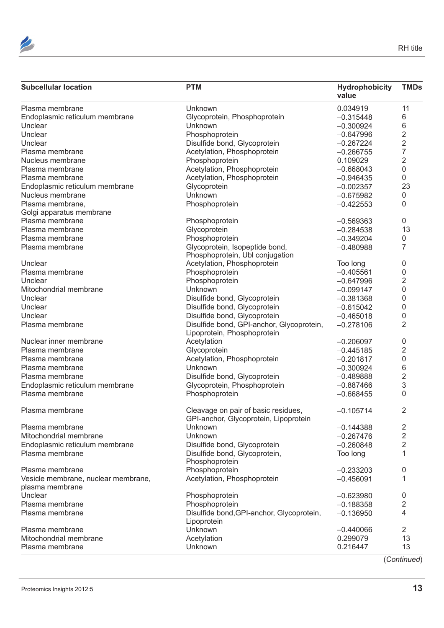

| <b>PTM</b><br><b>Subcellular location</b>                                                       | Hydrophobicity<br>value | <b>TMDs</b>    |
|-------------------------------------------------------------------------------------------------|-------------------------|----------------|
| Plasma membrane<br>Unknown                                                                      | 0.034919                | 11             |
| Glycoprotein, Phosphoprotein<br>Endoplasmic reticulum membrane                                  | $-0.315448$             | 6              |
| Unclear<br>Unknown                                                                              | $-0.300924$             |                |
| Unclear<br>Phosphoprotein                                                                       | $-0.647996$             |                |
| Unclear<br>Disulfide bond, Glycoprotein                                                         | $-0.267224$             |                |
| Plasma membrane<br>Acetylation, Phosphoprotein                                                  | $-0.266755$             |                |
| Phosphoprotein<br>Nucleus membrane                                                              | 0.109029                |                |
| Plasma membrane<br>Acetylation, Phosphoprotein                                                  | $-0.668043$             |                |
| Plasma membrane<br>Acetylation, Phosphoprotein                                                  | $-0.946435$             | $\Omega$       |
| Endoplasmic reticulum membrane<br>Glycoprotein                                                  | $-0.002357$             | 23             |
| Nucleus membrane<br>Unknown                                                                     | $-0.675982$             | $\overline{0}$ |
| Plasma membrane,<br>Phosphoprotein                                                              | $-0.422553$             | $\Omega$       |
| Golgi apparatus membrane                                                                        |                         |                |
| Plasma membrane<br>Phosphoprotein                                                               | $-0.569363$             | $\mathbf{0}$   |
| Plasma membrane<br>Glycoprotein                                                                 | $-0.284538$             | 13             |
| Plasma membrane<br>Phosphoprotein                                                               | $-0.349204$             | $\overline{0}$ |
| Glycoprotein, Isopeptide bond,<br>Plasma membrane<br>Phosphoprotein, Ubl conjugation            | $-0.480988$             | $\overline{7}$ |
| Acetylation, Phosphoprotein<br>Unclear                                                          | Too long                | $\mathbf{0}$   |
| Plasma membrane<br>Phosphoprotein                                                               | $-0.405561$             | $\Omega$       |
| Unclear<br>Phosphoprotein                                                                       | $-0.647996$             |                |
| Mitochondrial membrane<br>Unknown                                                               |                         |                |
|                                                                                                 | $-0.099147$             |                |
| Disulfide bond, Glycoprotein<br>Unclear                                                         | $-0.381368$             |                |
| Disulfide bond, Glycoprotein<br>Unclear                                                         | $-0.615042$             |                |
| Disulfide bond, Glycoprotein<br>Unclear                                                         | $-0.465018$             |                |
| Disulfide bond, GPI-anchor, Glycoprotein,<br>Plasma membrane<br>Lipoprotein, Phosphoprotein     | $-0.278106$             | 2              |
| Nuclear inner membrane<br>Acetylation                                                           | $-0.206097$             | $\Omega$       |
| Glycoprotein<br>Plasma membrane                                                                 | $-0.445185$             | 2              |
| Plasma membrane<br>Acetylation, Phosphoprotein                                                  | $-0.201817$             | $\Omega$       |
| Unknown<br>Plasma membrane                                                                      | $-0.300924$             |                |
| Disulfide bond, Glycoprotein<br>Plasma membrane                                                 | $-0.489888$             |                |
| Endoplasmic reticulum membrane<br>Glycoprotein, Phosphoprotein                                  | $-0.887466$             |                |
| Plasma membrane<br>Phosphoprotein                                                               | $-0.668455$             | $\Omega$       |
| Cleavage on pair of basic residues,<br>Plasma membrane<br>GPI-anchor, Glycoprotein, Lipoprotein | $-0.105714$             | $\overline{2}$ |
| Plasma membrane<br>Unknown                                                                      | $-0.144388$             | 2              |
| Mitochondrial membrane<br>Unknown                                                               | $-0.267476$             | $\overline{2}$ |
| Disulfide bond, Glycoprotein<br>Endoplasmic reticulum membrane                                  | $-0.260848$             | $\overline{2}$ |
| Plasma membrane<br>Disulfide bond, Glycoprotein,<br>Phosphoprotein                              | Too long                |                |
| Plasma membrane<br>Phosphoprotein                                                               | $-0.233203$             | $\bf{0}$       |
| Acetylation, Phosphoprotein<br>Vesicle membrane, nuclear membrane,<br>plasma membrane           | $-0.456091$             |                |
| Unclear<br>Phosphoprotein                                                                       | $-0.623980$             | 0              |
| Plasma membrane<br>Phosphoprotein                                                               | $-0.188358$             | 2              |
| Disulfide bond, GPI-anchor, Glycoprotein,<br>Plasma membrane<br>Lipoprotein                     | $-0.136950$             |                |
| Plasma membrane<br>Unknown                                                                      | $-0.440066$             | $\overline{2}$ |
|                                                                                                 |                         | 13             |
| Mitochondrial membrane<br>Acetylation                                                           | 0.299079                |                |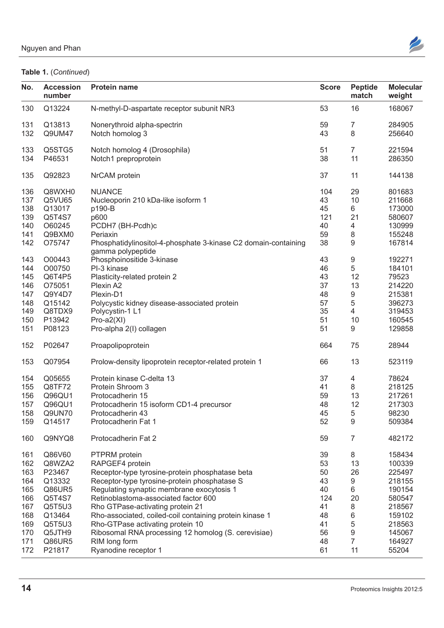

| No.        | <b>Accession</b><br>number | <b>Protein name</b>                                                                                              | <b>Score</b> | Peptide<br>match         | <b>Molecular</b><br>weight |
|------------|----------------------------|------------------------------------------------------------------------------------------------------------------|--------------|--------------------------|----------------------------|
| 130        | Q13224                     | N-methyl-D-aspartate receptor subunit NR3                                                                        | 53           | 16                       | 168067                     |
| 131        | Q13813                     | Nonerythroid alpha-spectrin                                                                                      | 59           | $\overline{7}$           | 284905                     |
| 132        | Q9UM47                     | Notch homolog 3                                                                                                  | 43           | 8                        | 256640                     |
| 133        | Q5STG5                     | Notch homolog 4 (Drosophila)                                                                                     | 51           |                          | 221594                     |
| 134        | P46531                     | Notch1 preproprotein                                                                                             | 38           | 11                       | 286350                     |
| 135        | Q92823                     | NrCAM protein                                                                                                    | 37           | 11                       | 144138                     |
| 136        | Q8WXH0                     | <b>NUANCE</b>                                                                                                    | 104          | 29                       | 801683                     |
| 137        | Q5VU65                     | Nucleoporin 210 kDa-like isoform 1                                                                               | 43           | 10                       | 211668                     |
| 138        | Q13017                     | p190-B                                                                                                           | 45           | 6                        | 173000                     |
| 139        | Q5T4S7                     | p600                                                                                                             | 121          | 21                       | 580607                     |
| 140        | O60245                     | PCDH7 (BH-Pcdh)c                                                                                                 | 40           | $\overline{4}$           | 130999                     |
|            |                            |                                                                                                                  |              |                          |                            |
| 141        | Q9BXM0                     | Periaxin                                                                                                         | 59           | 8                        | 155248                     |
| 142<br>143 | O75747<br>O00443           | Phosphatidylinositol-4-phosphate 3-kinase C2 domain-containing<br>gamma polypeptide<br>Phosphoinositide 3-kinase | 38<br>43     | 9<br>9                   | 167814<br>192271           |
|            |                            |                                                                                                                  |              |                          |                            |
| 144        | O00750                     | PI-3 kinase                                                                                                      | 46           | 5                        | 184101                     |
| 145        | Q6T4P5                     | Plasticity-related protein 2                                                                                     | 43           | 12                       | 79523                      |
| 146        | O75051                     | Plexin A2                                                                                                        | 37           | 13                       | 214220                     |
| 147        | Q9Y4D7                     | Plexin-D1                                                                                                        | 48           | 9                        | 215381                     |
| 148        | Q15142                     | Polycystic kidney disease-associated protein                                                                     | 57           |                          | 396273                     |
| 149        | Q8TDX9                     | Polycystin-1 L1                                                                                                  | 35           | $\overline{\mathcal{A}}$ | 319453                     |
| 150        | P13942                     | $Pro-a2(XI)$                                                                                                     | 51           | 10                       | 160545                     |
|            |                            |                                                                                                                  |              | 9                        |                            |
| 151        | P08123                     | Pro-alpha 2(I) collagen                                                                                          | 51           |                          | 129858                     |
| 152        | P02647                     | Proapolipoprotein                                                                                                | 664          | 75                       | 28944                      |
| 153        | Q07954                     | Prolow-density lipoprotein receptor-related protein 1                                                            | 66           | 13                       | 523119                     |
| 154        | Q05655                     | Protein kinase C-delta 13                                                                                        | 37           | $\overline{4}$           | 78624                      |
| 155        | Q8TF72                     | Protein Shroom 3                                                                                                 | 41           | 8                        | 218125                     |
|            |                            |                                                                                                                  |              |                          | 217261                     |
| 156        | Q96QU1                     | Protocadherin 15                                                                                                 | 59           | 13                       |                            |
| 157        | Q96QU1                     | Protocadherin 15 isoform CD1-4 precursor                                                                         | 48           | 12                       | 217303                     |
| 158        | Q9UN70                     | Protocadherin 43                                                                                                 | 45           |                          | 98230                      |
| 159        | Q14517                     | Protocadherin Fat 1                                                                                              | 52           | 9                        | 509384                     |
| 160        | Q9NYQ8                     | Protocadherin Fat 2                                                                                              | 59           | $\overline{7}$           | 482172                     |
| 161        | Q86V60                     | PTPRM protein                                                                                                    | 39           | 8                        | 158434                     |
| 162        | Q8WZA2                     | RAPGEF4 protein                                                                                                  | 53           | 13                       | 100339                     |
| 163        | P23467                     | Receptor-type tyrosine-protein phosphatase beta                                                                  | 50           | 26                       | 225497                     |
| 164        | Q13332                     | Receptor-type tyrosine-protein phosphatase S                                                                     | 43           | 9                        | 218155                     |
|            |                            |                                                                                                                  |              |                          |                            |
| 165        | Q86UR5                     | Regulating synaptic membrane exocytosis 1                                                                        | 40           | 6                        | 190154                     |
| 166        | Q5T4S7                     | Retinoblastoma-associated factor 600                                                                             | 124          | 20                       | 580547                     |
| 167        | Q5T5U3                     | Rho GTPase-activating protein 21                                                                                 | 41           | 8                        | 218567                     |
| 168        | Q13464                     | Rho-associated, coiled-coil containing protein kinase 1                                                          | 48           | $6\phantom{1}6$          | 159102                     |
| 169        | Q5T5U3                     | Rho-GTPase activating protein 10                                                                                 | 41           | 5                        | 218563                     |
|            | Q5JTH9                     |                                                                                                                  |              | 9                        | 145067                     |
| 170        |                            | Ribosomal RNA processing 12 homolog (S. cerevisiae)                                                              | 56           |                          |                            |
| 171        | Q86UR5                     | RIM long form                                                                                                    | 48           | $\overline{7}$           | 164927                     |
| 172        | P21817                     | Ryanodine receptor 1                                                                                             | 61           | 11                       | 55204                      |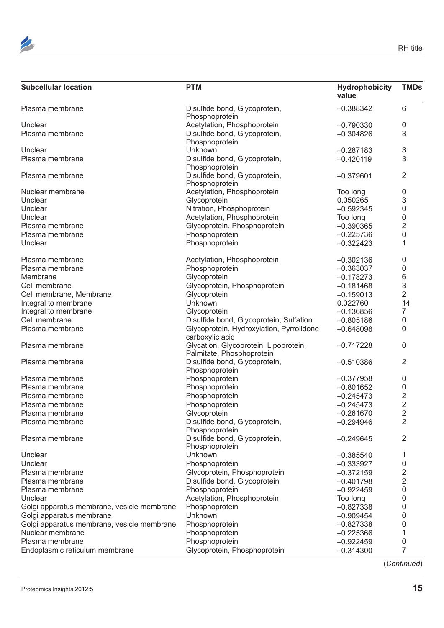

| <b>PTM</b><br><b>Subcellular location</b>                                             | Hydrophobicity<br>value | <b>TMDs</b>    |
|---------------------------------------------------------------------------------------|-------------------------|----------------|
| Plasma membrane<br>Disulfide bond, Glycoprotein,<br>Phosphoprotein                    | $-0.388342$             | 6              |
| Acetylation, Phosphoprotein<br>Unclear                                                | $-0.790330$             | $\Omega$       |
| Disulfide bond, Glycoprotein,<br>Plasma membrane<br>Phosphoprotein                    | $-0.304826$             | 3              |
| Unknown<br>Unclear                                                                    | $-0.287183$             | 3              |
| Disulfide bond, Glycoprotein,<br>Plasma membrane<br>Phosphoprotein                    | $-0.420119$             | 3              |
| Disulfide bond, Glycoprotein,<br>Plasma membrane<br>Phosphoprotein                    | $-0.379601$             | $\overline{2}$ |
| Nuclear membrane<br>Acetylation, Phosphoprotein                                       | Too long                | $\Omega$       |
| Glycoprotein<br>Unclear                                                               | 0.050265                | 3              |
| Nitration, Phosphoprotein<br>Unclear                                                  | $-0.592345$             |                |
| Unclear<br>Acetylation, Phosphoprotein                                                | Too long                |                |
| Plasma membrane<br>Glycoprotein, Phosphoprotein                                       | $-0.390365$             |                |
| Plasma membrane<br>Phosphoprotein                                                     | $-0.225736$             |                |
| Phosphoprotein<br>Unclear                                                             | $-0.322423$             |                |
| Acetylation, Phosphoprotein<br>Plasma membrane                                        | $-0.302136$             | 0              |
| Plasma membrane<br>Phosphoprotein                                                     | $-0.363037$             |                |
| Glycoprotein<br>Membrane                                                              | $-0.178273$             |                |
| Cell membrane<br>Glycoprotein, Phosphoprotein                                         | $-0.181468$             |                |
| Cell membrane, Membrane<br>Glycoprotein                                               | $-0.159013$             | 2              |
| Integral to membrane<br>Unknown                                                       | 0.022760                | 14             |
| Integral to membrane<br>Glycoprotein                                                  | $-0.136856$             |                |
| Disulfide bond, Glycoprotein, Sulfation<br>Cell membrane                              | $-0.805186$             | $\Omega$       |
| Plasma membrane<br>Glycoprotein, Hydroxylation, Pyrrolidone<br>carboxylic acid        | $-0.648098$             | $\Omega$       |
| Glycation, Glycoprotein, Lipoprotein,<br>Plasma membrane<br>Palmitate, Phosphoprotein | $-0.717228$             | $\overline{0}$ |
| Disulfide bond, Glycoprotein,<br>Plasma membrane<br>Phosphoprotein                    | $-0.510386$             | $\overline{2}$ |
| Plasma membrane<br>Phosphoprotein                                                     | $-0.377958$             | $\Omega$       |
| Plasma membrane<br>Phosphoprotein                                                     | $-0.801652$             | $\Omega$       |
| Plasma membrane<br>Phosphoprotein                                                     | $-0.245473$             |                |
| Plasma membrane<br>Phosphoprotein                                                     | $-0.245473$             |                |
| Plasma membrane<br>Glycoprotein                                                       | $-0.261670$             | ⌒              |
| Disulfide bond, Glycoprotein,<br>Plasma membrane<br>Phosphoprotein                    | $-0.294946$             | $\overline{2}$ |
| Disulfide bond, Glycoprotein,<br>Plasma membrane<br>Phosphoprotein                    | $-0.249645$             | $\overline{2}$ |
| Unknown<br>Unclear                                                                    | $-0.385540$             |                |
| Unclear<br>Phosphoprotein                                                             | $-0.333927$             |                |
| Glycoprotein, Phosphoprotein<br>Plasma membrane                                       | $-0.372159$             |                |
| Disulfide bond, Glycoprotein<br>Plasma membrane                                       | $-0.401798$             |                |
| Phosphoprotein<br>Plasma membrane                                                     | $-0.922459$             |                |
| Acetylation, Phosphoprotein<br>Unclear                                                | Too long                |                |
| Golgi apparatus membrane, vesicle membrane<br>Phosphoprotein                          | $-0.827338$             |                |
| Golgi apparatus membrane<br>Unknown                                                   | $-0.909454$             |                |
| Golgi apparatus membrane, vesicle membrane<br>Phosphoprotein                          | $-0.827338$             |                |
| Nuclear membrane<br>Phosphoprotein                                                    | $-0.225366$             |                |
| Plasma membrane<br>Phosphoprotein                                                     | $-0.922459$             |                |
| Endoplasmic reticulum membrane<br>Glycoprotein, Phosphoprotein                        | $-0.314300$             |                |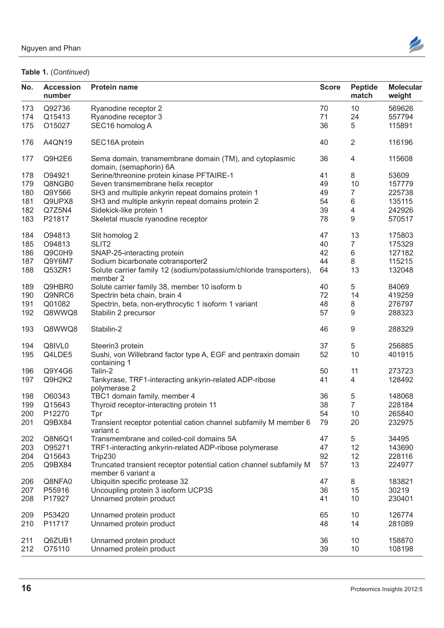

| No. | <b>Accession</b><br>number | Protein name                                                                       | <b>Score</b> | Peptide<br>match         | <b>Molecular</b><br>weight |
|-----|----------------------------|------------------------------------------------------------------------------------|--------------|--------------------------|----------------------------|
| 173 | Q92736                     | Ryanodine receptor 2                                                               | 70           | 10                       | 569626                     |
| 174 | Q15413                     | Ryanodine receptor 3                                                               | 71           | 24                       | 557794                     |
| 175 | O15027                     | SEC16 homolog A                                                                    | 36           | 5                        | 115891                     |
| 176 | A4QN19                     | SEC16A protein                                                                     | 40           | 2                        | 116196                     |
| 177 | Q9H2E6                     | Sema domain, transmembrane domain (TM), and cytoplasmic<br>domain, (semaphorin) 6A | 36           | 4                        | 115608                     |
| 178 | O94921                     | Serine/threonine protein kinase PFTAIRE-1                                          | 41           | 8                        | 53609                      |
| 179 | Q8NGB0                     | Seven transmembrane helix receptor                                                 | 49           | 10                       | 157779                     |
|     | Q9Y566                     | SH3 and multiple ankyrin repeat domains protein 1                                  |              |                          | 225738                     |
| 180 |                            |                                                                                    | 49           |                          |                            |
| 181 | Q9UPX8                     | SH3 and multiple ankyrin repeat domains protein 2                                  | 54           | 6                        | 135115                     |
| 182 | Q7Z5N4                     | Sidekick-like protein 1                                                            | 39           | $\overline{\mathcal{A}}$ | 242926                     |
| 183 | P21817                     | Skeletal muscle ryanodine receptor                                                 | 78           | 9                        | 570517                     |
| 184 | O94813                     | Slit homolog 2                                                                     | 47           | 13<br>$\overline{7}$     | 175803                     |
| 185 | O94813                     | SLIT <sub>2</sub>                                                                  | 40           |                          | 175329                     |
| 186 | Q9C0H9                     | SNAP-25-interacting protein                                                        | 42           | 6                        | 127182                     |
| 187 | Q9Y6M7                     | Sodium bicarbonate cotransporter2                                                  | 44           | 8                        | 115215                     |
| 188 | Q53ZR1                     | Solute carrier family 12 (sodium/potassium/chloride transporters),<br>member 2     | 64           | 13                       | 132048                     |
| 189 | Q9HBR0                     | Solute carrier family 38, member 10 isoform b                                      | 40           | 5                        | 84069                      |
| 190 | Q9NRC6                     | Spectrin beta chain, brain 4                                                       | 72           | 14                       | 419259                     |
| 191 | Q01082                     | Spectrin, beta, non-erythrocytic 1 isoform 1 variant                               | 48           | 8                        | 276797                     |
| 192 | Q8WWQ8                     | Stabilin 2 precursor                                                               | 57           | 9                        | 288323                     |
|     |                            |                                                                                    |              |                          |                            |
| 193 | Q8WWQ8                     | Stabilin-2                                                                         | 46           | 9                        | 288329                     |
| 194 | Q8IVL0                     | Steerin3 protein                                                                   | 37           | 5                        | 256885                     |
| 195 | Q4LDE5                     | Sushi, von Willebrand factor type A, EGF and pentraxin domain                      | 52           | 10                       | 401915                     |
|     |                            | containing 1                                                                       |              |                          |                            |
| 196 | Q9Y4G6                     | Talin-2                                                                            | 50           | 11                       | 273723                     |
|     |                            |                                                                                    |              | $\overline{4}$           |                            |
| 197 | Q9H2K2                     | Tankyrase, TRF1-interacting ankyrin-related ADP-ribose<br>polymerase 2             | 41           |                          | 128492                     |
| 198 | O60343                     | TBC1 domain family, member 4                                                       | 36           | 5                        | 148068                     |
|     |                            |                                                                                    |              | $\overline{7}$           |                            |
| 199 | Q15643                     | Thyroid receptor-interacting protein 11                                            | 38           |                          | 228184                     |
| 200 | P12270                     | Tpr                                                                                | 54           | 10                       | 265840                     |
| 201 | Q9BX84                     | Transient receptor potential cation channel subfamily M member 6                   | 79           | 20                       | 232975                     |
|     |                            | variant c                                                                          |              |                          |                            |
| 202 | Q8N6Q1                     | Transmembrane and coiled-coil domains 5A                                           | 47           | 5                        | 34495                      |
| 203 | O95271                     | TRF1-interacting ankyrin-related ADP-ribose polymerase                             | 47           | 12                       | 143690                     |
| 204 | Q15643                     | Trip230                                                                            | 92           | 12                       | 228116                     |
| 205 | Q9BX84                     | Truncated transient receptor potential cation channel subfamily M                  | 57           | 13                       | 224977                     |
|     |                            | member 6 variant a                                                                 |              |                          |                            |
| 206 | Q8NFA0                     | Ubiquitin specific protease 32                                                     | 47           | 8                        | 183821                     |
| 207 | P55916                     | Uncoupling protein 3 isoform UCP3S                                                 | 36           | 15                       | 30219                      |
| 208 | P17927                     | Unnamed protein product                                                            | 41           | 10                       | 230401                     |
| 209 | P53420                     | Unnamed protein product                                                            |              | 10                       | 126774                     |
|     |                            |                                                                                    | 65           |                          |                            |
| 210 | P11717                     | Unnamed protein product                                                            | 48           | 14                       | 281089                     |
| 211 | Q6ZUB1                     | Unnamed protein product                                                            | 36           | 10                       | 158870                     |
|     | 212 075110                 | Unnamed protein product                                                            | 39           | 10 <sup>°</sup>          | 108198                     |
|     |                            |                                                                                    |              |                          |                            |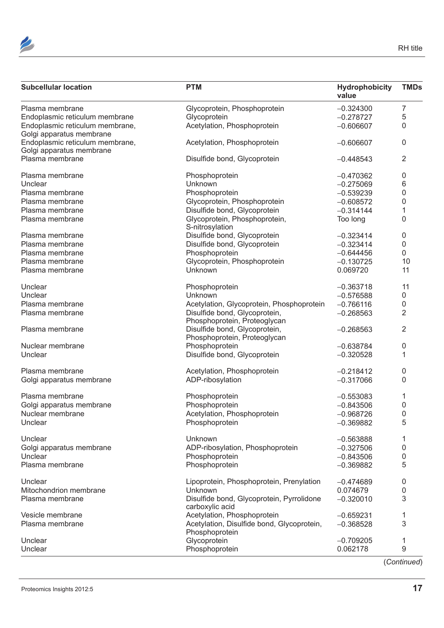



| <b>PTM</b><br><b>Subcellular location</b>                                        | <b>Hydrophobicity</b><br>value | <b>TMDs</b> |
|----------------------------------------------------------------------------------|--------------------------------|-------------|
| Glycoprotein, Phosphoprotein<br>Plasma membrane                                  | $-0.324300$                    | 7           |
| Endoplasmic reticulum membrane<br>Glycoprotein                                   | $-0.278727$                    | 5           |
| Endoplasmic reticulum membrane,<br>Acetylation, Phosphoprotein                   | $-0.606607$                    | $\Omega$    |
| Golgi apparatus membrane                                                         |                                |             |
| Endoplasmic reticulum membrane,<br>Acetylation, Phosphoprotein                   | $-0.606607$                    | $\Omega$    |
| Golgi apparatus membrane                                                         |                                |             |
| Plasma membrane<br>Disulfide bond, Glycoprotein                                  | $-0.448543$                    | 2           |
| Plasma membrane<br>Phosphoprotein                                                | $-0.470362$                    |             |
| Unclear<br>Unknown                                                               | $-0.275069$                    |             |
| Phosphoprotein<br>Plasma membrane                                                | $-0.539239$                    |             |
| Glycoprotein, Phosphoprotein<br>Plasma membrane                                  | $-0.608572$                    |             |
| Plasma membrane<br>Disulfide bond, Glycoprotein                                  | $-0.314144$                    |             |
| Plasma membrane<br>Glycoprotein, Phosphoprotein,<br>S-nitrosylation              | Too long                       |             |
| Disulfide bond, Glycoprotein<br>Plasma membrane                                  | $-0.323414$                    |             |
| Disulfide bond, Glycoprotein<br>Plasma membrane                                  | $-0.323414$                    |             |
| Phosphoprotein<br>Plasma membrane                                                | $-0.644456$                    |             |
| Plasma membrane<br>Glycoprotein, Phosphoprotein                                  | $-0.130725$                    | 10          |
| Plasma membrane<br>Unknown                                                       | 0.069720                       | 11          |
| Unclear<br>Phosphoprotein                                                        | $-0.363718$                    | 11          |
| Unclear<br>Unknown                                                               | $-0.576588$                    | $\Omega$    |
| Acetylation, Glycoprotein, Phosphoprotein<br>Plasma membrane                     | $-0.766116$                    |             |
| Disulfide bond, Glycoprotein,<br>Plasma membrane<br>Phosphoprotein, Proteoglycan | $-0.268563$                    | 2           |
| Plasma membrane<br>Disulfide bond, Glycoprotein,<br>Phosphoprotein, Proteoglycan | $-0.268563$                    | 2           |
| Phosphoprotein<br>Nuclear membrane                                               | $-0.638784$                    |             |
| Disulfide bond, Glycoprotein<br>Unclear                                          | $-0.320528$                    |             |
| Plasma membrane<br>Acetylation, Phosphoprotein                                   | $-0.218412$                    | $\Omega$    |
| ADP-ribosylation<br>Golgi apparatus membrane                                     | $-0.317066$                    | $\Omega$    |
| Plasma membrane<br>Phosphoprotein                                                | $-0.553083$                    |             |
| Phosphoprotein<br>Golgi apparatus membrane                                       | $-0.843506$                    | $\Omega$    |
| Nuclear membrane<br>Acetylation, Phosphoprotein                                  | $-0.968726$                    | $\mathbf 0$ |
| Unclear<br>Phosphoprotein                                                        | $-0.369882$                    | 5           |
| Unknown<br>Unclear                                                               | $-0.563888$                    |             |
| ADP-ribosylation, Phosphoprotein<br>Golgi apparatus membrane                     | $-0.327506$                    |             |
| Unclear<br>Phosphoprotein                                                        | $-0.843506$                    |             |
| Plasma membrane<br>Phosphoprotein                                                | $-0.369882$                    | -5          |
| Unclear<br>Lipoprotein, Phosphoprotein, Prenylation                              | $-0.474689$                    |             |
| Mitochondrion membrane<br>Unknown                                                | 0.074679                       |             |
| Disulfide bond, Glycoprotein, Pyrrolidone<br>Plasma membrane<br>carboxylic acid  | $-0.320010$                    | 3           |
| Acetylation, Phosphoprotein<br>Vesicle membrane                                  | $-0.659231$                    |             |
|                                                                                  | $-0.368528$                    | 3           |
| Plasma membrane<br>Acetylation, Disulfide bond, Glycoprotein,                    |                                |             |
| Phosphoprotein<br>Unclear<br>Glycoprotein                                        | $-0.709205$                    |             |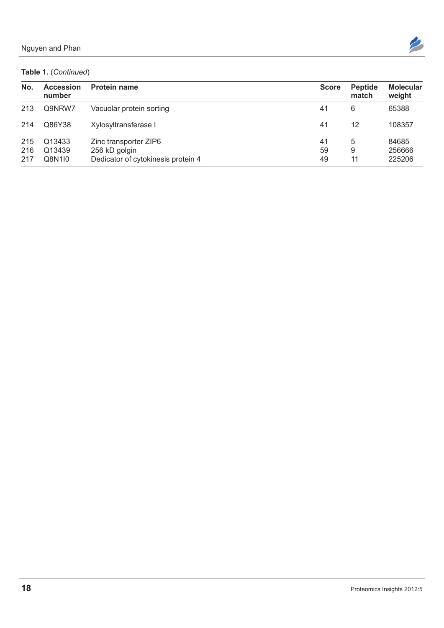| No. | Accession<br>number                    | <b>Protein name</b>                                                          | <b>Score</b>   | <b>Peptide</b><br>match | <b>Molecular</b><br>weight |
|-----|----------------------------------------|------------------------------------------------------------------------------|----------------|-------------------------|----------------------------|
|     | 213 Q9NRW7                             | Vacuolar protein sorting                                                     | 41             |                         | 65388                      |
|     | 214 Q86Y38                             | Xylosyltransferase I                                                         | 41             | 12                      | 108357                     |
|     | 215 Q13433<br>216 Q13439<br>217 Q8N1I0 | Zinc transporter ZIP6<br>256 kD golgin<br>Dedicator of cytokinesis protein 4 | 41<br>59<br>49 | $\overline{A}$          | 84685<br>256666<br>225206  |